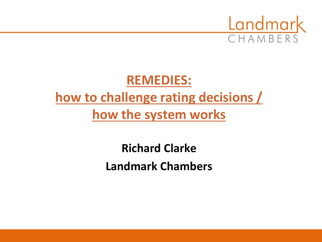

# **REMEDIES: how to challenge rating decisions / how the system works**

**Richard Clarke Landmark Chambers**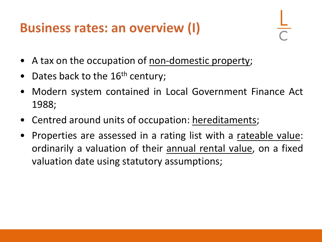### **Business rates: an overview (I)**

- A tax on the occupation of non-domestic property;
- Dates back to the  $16<sup>th</sup>$  century;
- Modern system contained in Local Government Finance Act 1988;
- Centred around units of occupation: hereditaments;
- Properties are assessed in a rating list with a rateable value: ordinarily a valuation of their annual rental value, on a fixed valuation date using statutory assumptions;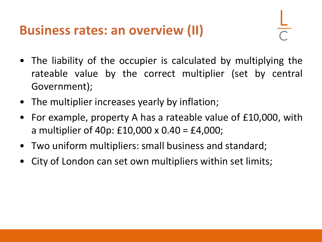#### **Business rates: an overview (II)**

- The liability of the occupier is calculated by multiplying the rateable value by the correct multiplier (set by central Government);
- The multiplier increases yearly by inflation;
- For example, property A has a rateable value of £10,000, with a multiplier of 40p: £10,000 x 0.40 = £4,000;
- Two uniform multipliers: small business and standard;
- City of London can set own multipliers within set limits;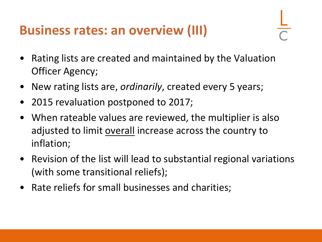### **Business rates: an overview (III)**

- Rating lists are created and maintained by the Valuation Officer Agency;
- New rating lists are, *ordinarily*, created every 5 years;
- 2015 revaluation postponed to 2017;
- When rateable values are reviewed, the multiplier is also adjusted to limit overall increase across the country to inflation;
- Revision of the list will lead to substantial regional variations (with some transitional reliefs);
- Rate reliefs for small businesses and charities;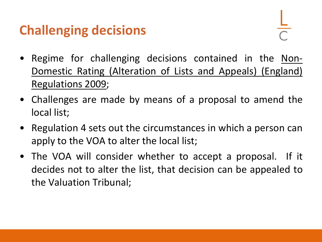## **Challenging decisions**

- Regime for challenging decisions contained in the Non-Domestic Rating (Alteration of Lists and Appeals) (England) Regulations 2009;
- Challenges are made by means of a proposal to amend the local list;
- Regulation 4 sets out the circumstances in which a person can apply to the VOA to alter the local list;
- The VOA will consider whether to accept a proposal. If it decides not to alter the list, that decision can be appealed to the Valuation Tribunal;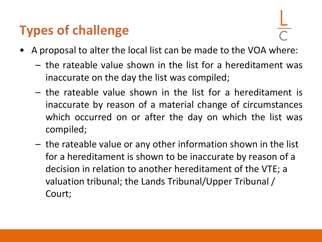## **Types of challenge**

- A proposal to alter the local list can be made to the VOA where:
	- the rateable value shown in the list for a hereditament was inaccurate on the day the list was compiled;
	- the rateable value shown in the list for a hereditament is inaccurate by reason of a material change of circumstances which occurred on or after the day on which the list was compiled;
	- the rateable value or any other information shown in the list for a hereditament is shown to be inaccurate by reason of a decision in relation to another hereditament of the VTE; a valuation tribunal; the Lands Tribunal/Upper Tribunal / Court;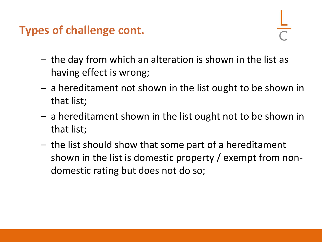#### **Types of challenge cont.**

- the day from which an alteration is shown in the list as having effect is wrong;
- a hereditament not shown in the list ought to be shown in that list;
- a hereditament shown in the list ought not to be shown in that list;
- the list should show that some part of a hereditament shown in the list is domestic property / exempt from nondomestic rating but does not do so;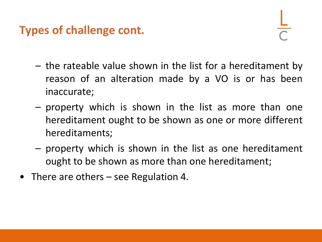#### **Types of challenge cont.**

- the rateable value shown in the list for a hereditament by reason of an alteration made by a VO is or has been inaccurate;
- property which is shown in the list as more than one hereditament ought to be shown as one or more different hereditaments;
- property which is shown in the list as one hereditament ought to be shown as more than one hereditament;
- There are others see Regulation 4.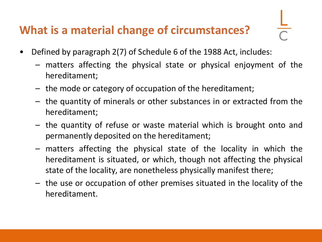#### **What is a material change of circumstances?**

- Defined by paragraph 2(7) of Schedule 6 of the 1988 Act, includes:
	- matters affecting the physical state or physical enjoyment of the hereditament;
	- the mode or category of occupation of the hereditament;
	- the quantity of minerals or other substances in or extracted from the hereditament;
	- the quantity of refuse or waste material which is brought onto and permanently deposited on the hereditament;
	- matters affecting the physical state of the locality in which the hereditament is situated, or which, though not affecting the physical state of the locality, are nonetheless physically manifest there;
	- the use or occupation of other premises situated in the locality of the hereditament.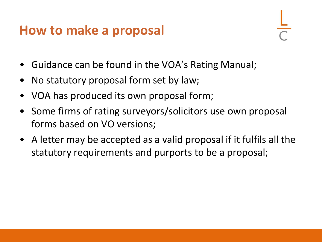#### **How to make a proposal**

- Guidance can be found in the VOA's Rating Manual;
- No statutory proposal form set by law;
- VOA has produced its own proposal form;
- Some firms of rating surveyors/solicitors use own proposal forms based on VO versions;
- A letter may be accepted as a valid proposal if it fulfils all the statutory requirements and purports to be a proposal;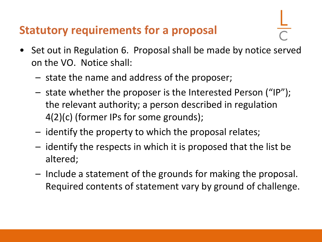#### **Statutory requirements for a proposal**

- Set out in Regulation 6. Proposal shall be made by notice served on the VO. Notice shall:
	- state the name and address of the proposer;
	- state whether the proposer is the Interested Person ("IP"); the relevant authority; a person described in regulation 4(2)(c) (former IPs for some grounds);
	- identify the property to which the proposal relates;
	- identify the respects in which it is proposed that the list be altered;
	- Include a statement of the grounds for making the proposal. Required contents of statement vary by ground of challenge.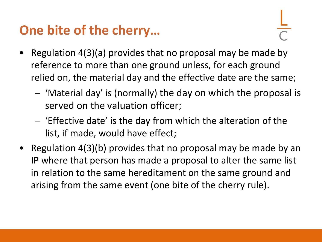### **One bite of the cherry…**

- Regulation 4(3)(a) provides that no proposal may be made by reference to more than one ground unless, for each ground relied on, the material day and the effective date are the same;
	- 'Material day' is (normally) the day on which the proposal is served on the valuation officer;
	- 'Effective date' is the day from which the alteration of the list, if made, would have effect;
- Regulation 4(3)(b) provides that no proposal may be made by an IP where that person has made a proposal to alter the same list in relation to the same hereditament on the same ground and arising from the same event (one bite of the cherry rule).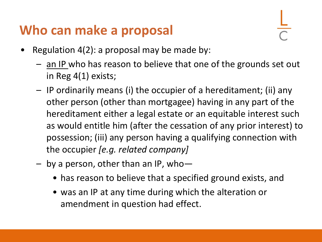#### **Who can make a proposal**

- Regulation  $4(2)$ : a proposal may be made by:
	- an IP who has reason to believe that one of the grounds set out in Reg 4(1) exists;
	- IP ordinarily means (i) the occupier of a hereditament; (ii) any other person (other than mortgagee) having in any part of the hereditament either a legal estate or an equitable interest such as would entitle him (after the cessation of any prior interest) to possession; (iii) any person having a qualifying connection with the occupier *[e.g. related company]*
	- $-$  by a person, other than an IP, who-
		- has reason to believe that a specified ground exists, and
		- was an IP at any time during which the alteration or amendment in question had effect.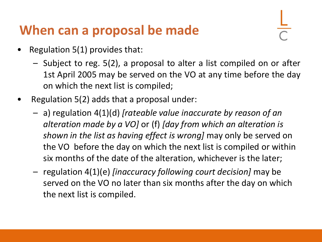### **When can a proposal be made**

- Regulation  $5(1)$  provides that:
	- Subject to reg. 5(2), a proposal to alter a list compiled on or after 1st April 2005 may be served on the VO at any time before the day on which the next list is compiled;
- Regulation 5(2) adds that a proposal under:
	- a) regulation 4(1)(d) *[rateable value inaccurate by reason of an alteration made by a VO]* or (f) *[day from which an alteration is shown in the list as having effect is wrong]* may only be served on the VO before the day on which the next list is compiled or within six months of the date of the alteration, whichever is the later;
	- regulation 4(1)(e) *[inaccuracy following court decision]* may be served on the VO no later than six months after the day on which the next list is compiled.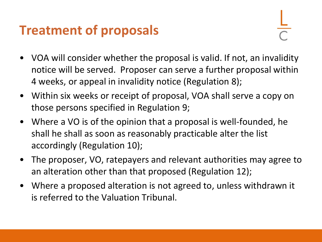## **Treatment of proposals**

- VOA will consider whether the proposal is valid. If not, an invalidity notice will be served. Proposer can serve a further proposal within 4 weeks, or appeal in invalidity notice (Regulation 8);
- Within six weeks or receipt of proposal, VOA shall serve a copy on those persons specified in Regulation 9;
- Where a VO is of the opinion that a proposal is well-founded, he shall he shall as soon as reasonably practicable alter the list accordingly (Regulation 10);
- The proposer, VO, ratepayers and relevant authorities may agree to an alteration other than that proposed (Regulation 12);
- Where a proposed alteration is not agreed to, unless withdrawn it is referred to the Valuation Tribunal.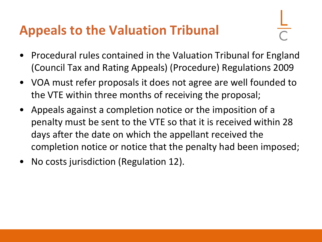## **Appeals to the Valuation Tribunal**

- Procedural rules contained in the Valuation Tribunal for England (Council Tax and Rating Appeals) (Procedure) Regulations 2009
- VOA must refer proposals it does not agree are well founded to the VTE within three months of receiving the proposal;
- Appeals against a completion notice or the imposition of a penalty must be sent to the VTE so that it is received within 28 days after the date on which the appellant received the completion notice or notice that the penalty had been imposed;
- No costs jurisdiction (Regulation 12).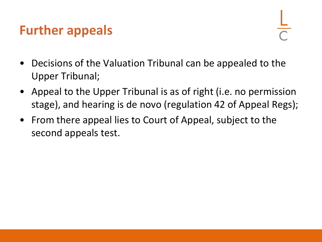### **Further appeals**

- Decisions of the Valuation Tribunal can be appealed to the Upper Tribunal;
- Appeal to the Upper Tribunal is as of right (i.e. no permission stage), and hearing is de novo (regulation 42 of Appeal Regs);
- From there appeal lies to Court of Appeal, subject to the second appeals test.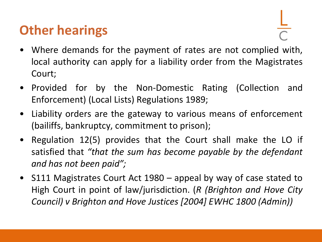## **Other hearings**

- Where demands for the payment of rates are not complied with, local authority can apply for a liability order from the Magistrates Court;
- Provided for by the Non-Domestic Rating (Collection and Enforcement) (Local Lists) Regulations 1989;
- Liability orders are the gateway to various means of enforcement (bailiffs, bankruptcy, commitment to prison);
- Regulation 12(5) provides that the Court shall make the LO if satisfied that *"that the sum has become payable by the defendant and has not been paid";*
- S111 Magistrates Court Act 1980 appeal by way of case stated to High Court in point of law/jurisdiction. (*R (Brighton and Hove City Council) v Brighton and Hove Justices [2004] EWHC 1800 (Admin))*